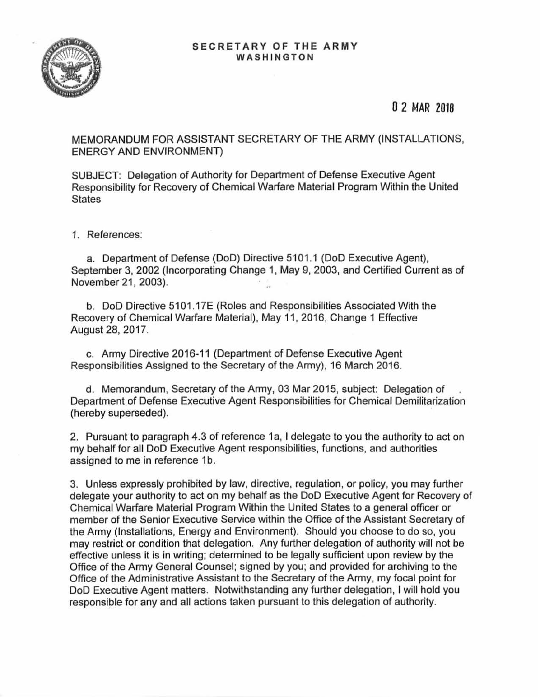

## 0 2 MAR 2018

MEMORANDUM FOR ASSISTANT SECRETARY OF THE ARMY (INSTALLATIONS, ENERGY AND ENVIRONMENT)

SUBJECT: Delegation of Authority for Department of Defense Executive Agent Responsibility for Recovery of Chemical Warfare Material Program Within the United States

1. References:

a. Department of Defense (DoD) Directive 5101.1 (DoD Executive Agent), September 3, 2002 (Incorporating Change 1, May 9, 2003, and Certified Current as of November 21 , 2003).

b. DoD Directive 5101 .17E (Roles and Responsibilities Associated With the Recovery of Chemical Warfare Material), May 11, 2016, Change 1 Effective August 28, 2017.

c. Army Directive 2016-11 (Department of Defense Executive Agent Responsibilities Assigned to the Secretary of the Army), 16 March 2016.

d. Memorandum, Secretary of the Army, 03 Mar 2015, subject: Delegation of . Department of Defense Executive Agent Responsibilities for Chemical Demilitarization (hereby superseded).

2. Pursuant to paragraph 4.3 of reference 1 a, I delegate to you the authority to act on my behalf for all DoD Executive Agent responsibilities, functions, and authorities assigned to me in reference 1b.

3. Unless expressly prohibited by law, directive, regulation, or policy, you may further delegate your authority to act on my behalf as the DoD Executive Agent for Recovery of Chemical Warfare Material Program Within the United States to a general officer or member of the Senior Executive Service within the Office of the Assistant Secretary of the Army (Installations, Energy and Environment). Should you choose to do so, you may restrict or condition that delegation. Any further delegation of authority will not be effective unless it is in writing; determined to be legally sufficient upon review by the Office of the Army General Counsel; signed by you; and provided for archiving to the Office of the Administrative Assistant to the Secretary of the Army, my focal point for DoD Executive Agent matters. Notwithstanding any further delegation, I will hold you responsible for any and all actions taken pursuant to this delegation of authority.